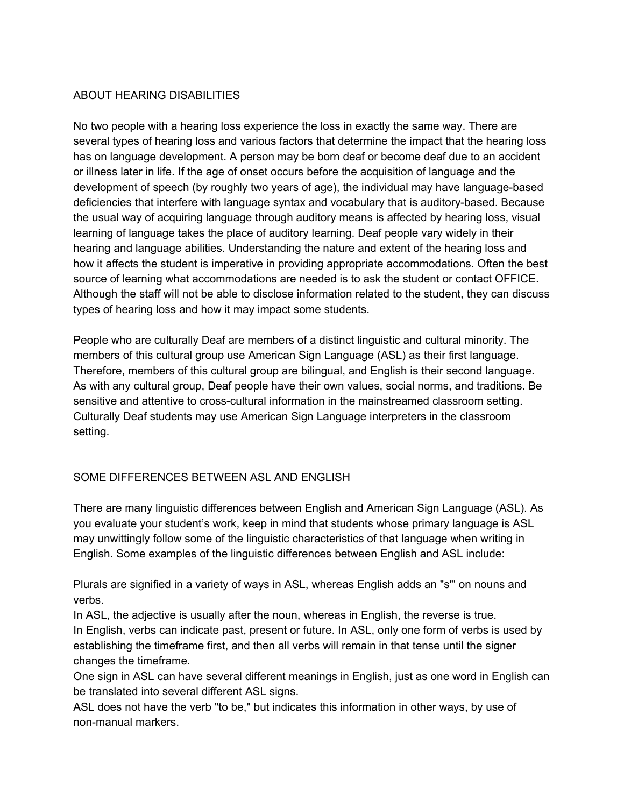#### ABOUT HEARING DISABILITIES

No two people with a hearing loss experience the loss in exactly the same way. There are several types of hearing loss and various factors that determine the impact that the hearing loss has on language development. A person may be born deaf or become deaf due to an accident or illness later in life. If the age of onset occurs before the acquisition of language and the development of speech (by roughly two years of age), the individual may have language-based deficiencies that interfere with language syntax and vocabulary that is auditory-based. Because the usual way of acquiring language through auditory means is affected by hearing loss, visual learning of language takes the place of auditory learning. Deaf people vary widely in their hearing and language abilities. Understanding the nature and extent of the hearing loss and how it affects the student is imperative in providing appropriate accommodations. Often the best source of learning what accommodations are needed is to ask the student or contact OFFICE. Although the staff will not be able to disclose information related to the student, they can discuss types of hearing loss and how it may impact some students.

People who are culturally Deaf are members of a distinct linguistic and cultural minority. The members of this cultural group use American Sign Language (ASL) as their first language. Therefore, members of this cultural group are bilingual, and English is their second language. As with any cultural group, Deaf people have their own values, social norms, and traditions. Be sensitive and attentive to cross-cultural information in the mainstreamed classroom setting. Culturally Deaf students may use American Sign Language interpreters in the classroom setting.

## SOME DIFFERENCES BETWEEN ASL AND ENGLISH

There are many linguistic differences between English and American Sign Language (ASL). As you evaluate your student's work, keep in mind that students whose primary language is ASL may unwittingly follow some of the linguistic characteristics of that language when writing in English. Some examples of the linguistic differences between English and ASL include:

Plurals are signified in a variety of ways in ASL, whereas English adds an "s"' on nouns and verbs.

In ASL, the adjective is usually after the noun, whereas in English, the reverse is true. In English, verbs can indicate past, present or future. In ASL, only one form of verbs is used by establishing the timeframe first, and then all verbs will remain in that tense until the signer changes the timeframe.

One sign in ASL can have several different meanings in English, just as one word in English can be translated into several different ASL signs.

ASL does not have the verb "to be," but indicates this information in other ways, by use of non-manual markers.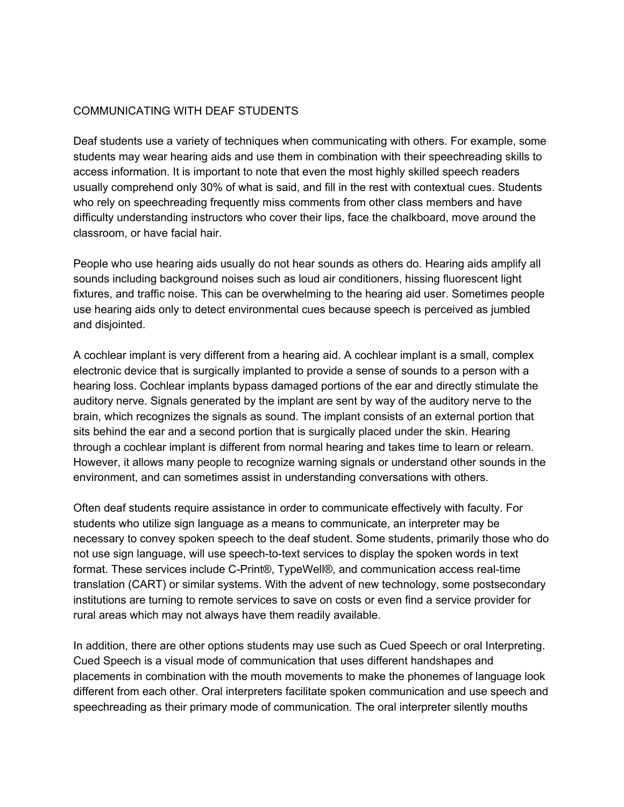#### COMMUNICATING WITH DEAF STUDENTS

Deaf students use a variety of techniques when communicating with others. For example, some students may wear hearing aids and use them in combination with their speechreading skills to access information. It is important to note that even the most highly skilled speech readers usually comprehend only 30% of what is said, and fill in the rest with contextual cues. Students who rely on speechreading frequently miss comments from other class members and have difficulty understanding instructors who cover their lips, face the chalkboard, move around the classroom, or have facial hair.

People who use hearing aids usually do not hear sounds as others do. Hearing aids amplify all sounds including background noises such as loud air conditioners, hissing fluorescent light fixtures, and traffic noise. This can be overwhelming to the hearing aid user. Sometimes people use hearing aids only to detect environmental cues because speech is perceived as jumbled and disjointed.

A cochlear implant is very different from a hearing aid. A cochlear implant is a small, complex electronic device that is surgically implanted to provide a sense of sounds to a person with a hearing loss. Cochlear implants bypass damaged portions of the ear and directly stimulate the auditory nerve. Signals generated by the implant are sent by way of the auditory nerve to the brain, which recognizes the signals as sound. The implant consists of an external portion that sits behind the ear and a second portion that is surgically placed under the skin. Hearing through a cochlear implant is different from normal hearing and takes time to learn or relearn. However, it allows many people to recognize warning signals or understand other sounds in the environment, and can sometimes assist in understanding conversations with others.

Often deaf students require assistance in order to communicate effectively with faculty. For students who utilize sign language as a means to communicate, an interpreter may be necessary to convey spoken speech to the deaf student. Some students, primarily those who do not use sign language, will use speech-to-text services to display the spoken words in text format. These services include C-Print®, TypeWell®, and communication access real-time translation (CART) or similar systems. With the advent of new technology, some postsecondary institutions are turning to remote services to save on costs or even find a service provider for rural areas which may not always have them readily available.

In addition, there are other options students may use such as Cued Speech or oral Interpreting. Cued Speech is a visual mode of communication that uses different handshapes and placements in combination with the mouth movements to make the phonemes of language look different from each other. Oral interpreters facilitate spoken communication and use speech and speechreading as their primary mode of communication. The oral interpreter silently mouths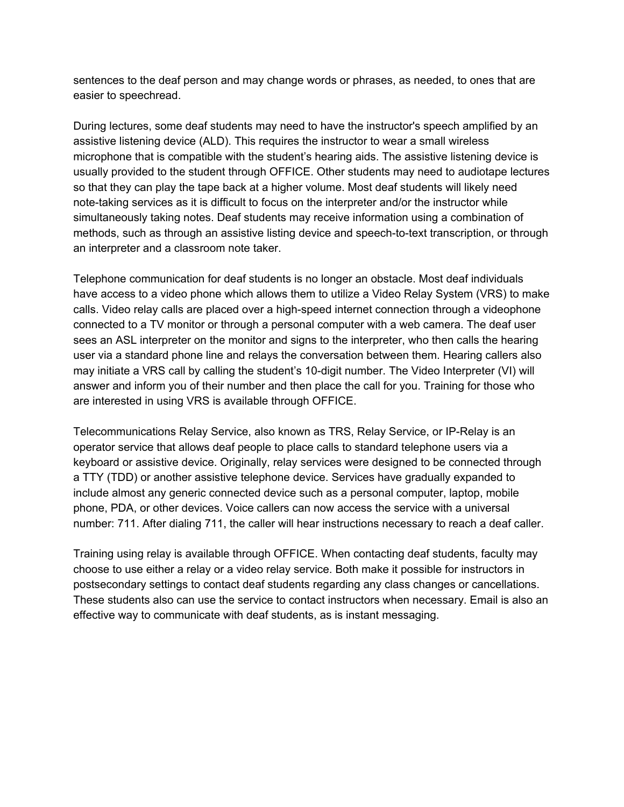sentences to the deaf person and may change words or phrases, as needed, to ones that are easier to speechread.

During lectures, some deaf students may need to have the instructor's speech amplified by an assistive listening device (ALD). This requires the instructor to wear a small wireless microphone that is compatible with the student's hearing aids. The assistive listening device is usually provided to the student through OFFICE. Other students may need to audiotape lectures so that they can play the tape back at a higher volume. Most deaf students will likely need note-taking services as it is difficult to focus on the interpreter and/or the instructor while simultaneously taking notes. Deaf students may receive information using a combination of methods, such as through an assistive listing device and speech-to-text transcription, or through an interpreter and a classroom note taker.

Telephone communication for deaf students is no longer an obstacle. Most deaf individuals have access to a video phone which allows them to utilize a Video Relay System (VRS) to make calls. Video relay calls are placed over a high-speed internet connection through a videophone connected to a TV monitor or through a personal computer with a web camera. The deaf user sees an ASL interpreter on the monitor and signs to the interpreter, who then calls the hearing user via a standard phone line and relays the conversation between them. Hearing callers also may initiate a VRS call by calling the student's 10-digit number. The Video Interpreter (VI) will answer and inform you of their number and then place the call for you. Training for those who are interested in using VRS is available through OFFICE.

Telecommunications Relay Service, also known as TRS, Relay Service, or IP-Relay is an operator service that allows deaf people to place calls to standard telephone users via a keyboard or assistive device. Originally, relay services were designed to be connected through a TTY (TDD) or another assistive telephone device. Services have gradually expanded to include almost any generic connected device such as a personal computer, laptop, mobile phone, PDA, or other devices. Voice callers can now access the service with a universal number: 711. After dialing 711, the caller will hear instructions necessary to reach a deaf caller.

Training using relay is available through OFFICE. When contacting deaf students, faculty may choose to use either a relay or a video relay service. Both make it possible for instructors in postsecondary settings to contact deaf students regarding any class changes or cancellations. These students also can use the service to contact instructors when necessary. Email is also an effective way to communicate with deaf students, as is instant messaging.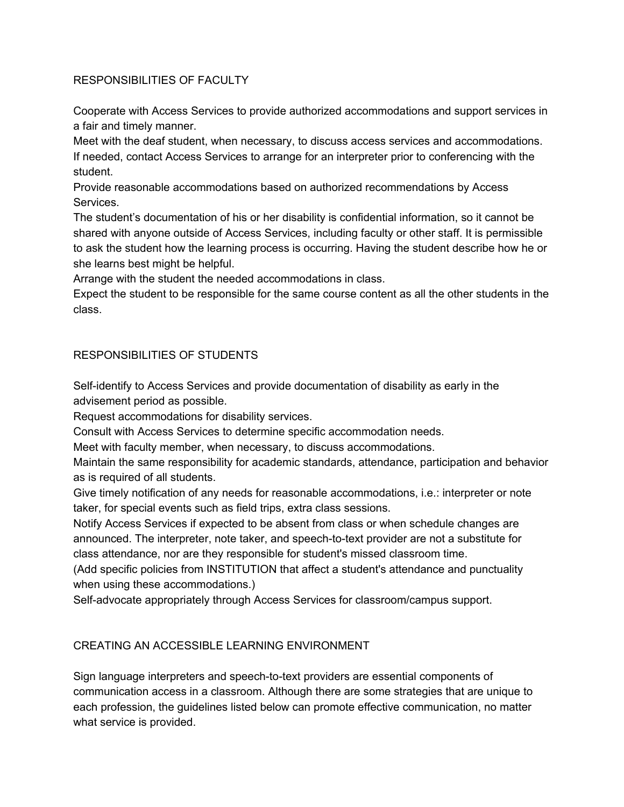## RESPONSIBILITIES OF FACULTY

Cooperate with Access Services to provide authorized accommodations and support services in a fair and timely manner.

Meet with the deaf student, when necessary, to discuss access services and accommodations. If needed, contact Access Services to arrange for an interpreter prior to conferencing with the student.

Provide reasonable accommodations based on authorized recommendations by Access Services.

The student's documentation of his or her disability is confidential information, so it cannot be shared with anyone outside of Access Services, including faculty or other staff. It is permissible to ask the student how the learning process is occurring. Having the student describe how he or she learns best might be helpful.

Arrange with the student the needed accommodations in class.

Expect the student to be responsible for the same course content as all the other students in the class.

# RESPONSIBILITIES OF STUDENTS

Self-identify to Access Services and provide documentation of disability as early in the advisement period as possible.

Request accommodations for disability services.

Consult with Access Services to determine specific accommodation needs.

Meet with faculty member, when necessary, to discuss accommodations.

Maintain the same responsibility for academic standards, attendance, participation and behavior as is required of all students.

Give timely notification of any needs for reasonable accommodations, i.e.: interpreter or note taker, for special events such as field trips, extra class sessions.

Notify Access Services if expected to be absent from class or when schedule changes are announced. The interpreter, note taker, and speech-to-text provider are not a substitute for class attendance, nor are they responsible for student's missed classroom time.

(Add specific policies from INSTITUTION that affect a student's attendance and punctuality when using these accommodations.)

Self-advocate appropriately through Access Services for classroom/campus support.

## CREATING AN ACCESSIBLE LEARNING ENVIRONMENT

Sign language interpreters and speech-to-text providers are essential components of communication access in a classroom. Although there are some strategies that are unique to each profession, the guidelines listed below can promote effective communication, no matter what service is provided.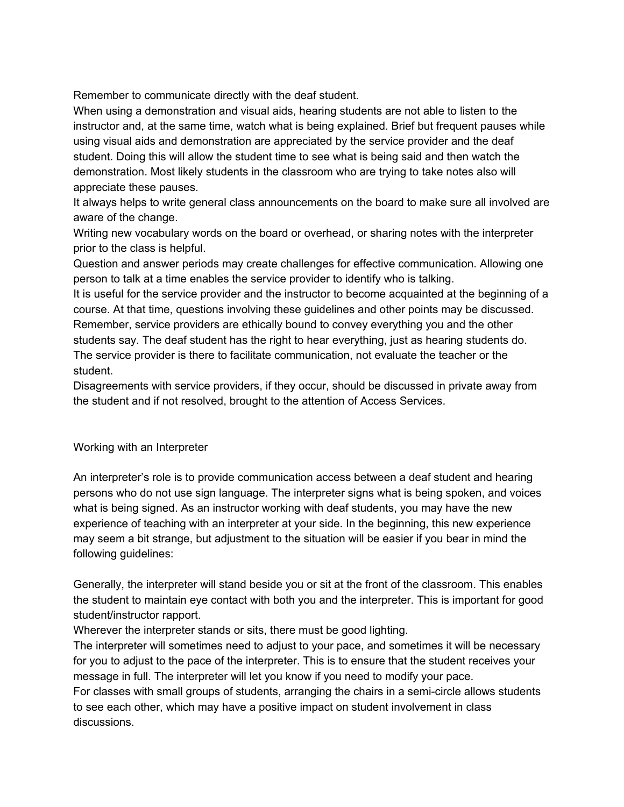Remember to communicate directly with the deaf student.

When using a demonstration and visual aids, hearing students are not able to listen to the instructor and, at the same time, watch what is being explained. Brief but frequent pauses while using visual aids and demonstration are appreciated by the service provider and the deaf student. Doing this will allow the student time to see what is being said and then watch the demonstration. Most likely students in the classroom who are trying to take notes also will appreciate these pauses.

It always helps to write general class announcements on the board to make sure all involved are aware of the change.

Writing new vocabulary words on the board or overhead, or sharing notes with the interpreter prior to the class is helpful.

Question and answer periods may create challenges for effective communication. Allowing one person to talk at a time enables the service provider to identify who is talking.

It is useful for the service provider and the instructor to become acquainted at the beginning of a course. At that time, questions involving these guidelines and other points may be discussed. Remember, service providers are ethically bound to convey everything you and the other students say. The deaf student has the right to hear everything, just as hearing students do. The service provider is there to facilitate communication, not evaluate the teacher or the student.

Disagreements with service providers, if they occur, should be discussed in private away from the student and if not resolved, brought to the attention of Access Services.

#### Working with an Interpreter

An interpreter's role is to provide communication access between a deaf student and hearing persons who do not use sign language. The interpreter signs what is being spoken, and voices what is being signed. As an instructor working with deaf students, you may have the new experience of teaching with an interpreter at your side. In the beginning, this new experience may seem a bit strange, but adjustment to the situation will be easier if you bear in mind the following guidelines:

Generally, the interpreter will stand beside you or sit at the front of the classroom. This enables the student to maintain eye contact with both you and the interpreter. This is important for good student/instructor rapport.

Wherever the interpreter stands or sits, there must be good lighting.

The interpreter will sometimes need to adjust to your pace, and sometimes it will be necessary for you to adjust to the pace of the interpreter. This is to ensure that the student receives your message in full. The interpreter will let you know if you need to modify your pace.

For classes with small groups of students, arranging the chairs in a semi-circle allows students to see each other, which may have a positive impact on student involvement in class discussions.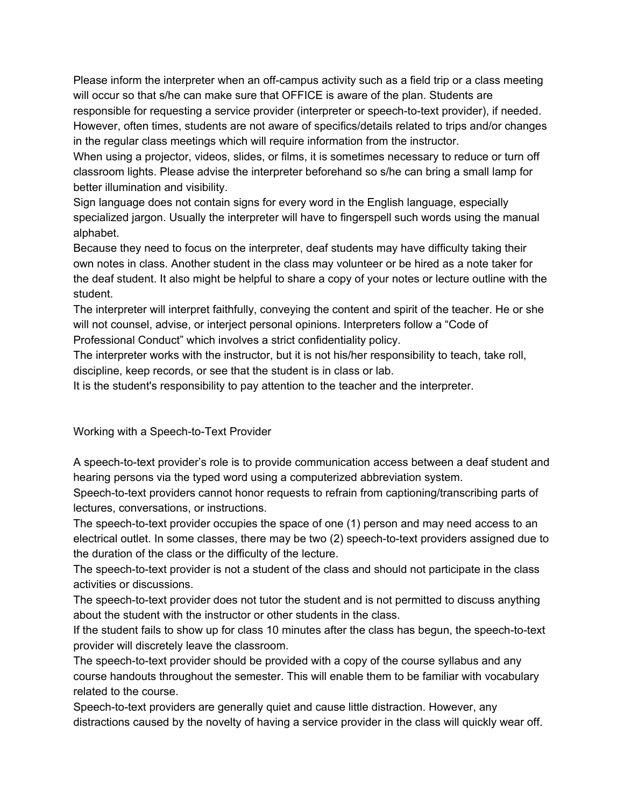Please inform the interpreter when an off-campus activity such as a field trip or a class meeting will occur so that s/he can make sure that OFFICE is aware of the plan. Students are responsible for requesting a service provider (interpreter or speech-to-text provider), if needed. However, often times, students are not aware of specifics/details related to trips and/or changes in the regular class meetings which will require information from the instructor.

When using a projector, videos, slides, or films, it is sometimes necessary to reduce or turn off classroom lights. Please advise the interpreter beforehand so s/he can bring a small lamp for better illumination and visibility.

Sign language does not contain signs for every word in the English language, especially specialized jargon. Usually the interpreter will have to fingerspell such words using the manual alphabet.

Because they need to focus on the interpreter, deaf students may have difficulty taking their own notes in class. Another student in the class may volunteer or be hired as a note taker for the deaf student. It also might be helpful to share a copy of your notes or lecture outline with the student.

The interpreter will interpret faithfully, conveying the content and spirit of the teacher. He or she will not counsel, advise, or interject personal opinions. Interpreters follow a "Code of Professional Conduct" which involves a strict confidentiality policy.

The interpreter works with the instructor, but it is not his/her responsibility to teach, take roll, discipline, keep records, or see that the student is in class or lab.

It is the student's responsibility to pay attention to the teacher and the interpreter.

Working with a Speech-to-Text Provider

A speech-to-text provider's role is to provide communication access between a deaf student and hearing persons via the typed word using a computerized abbreviation system.

Speech-to-text providers cannot honor requests to refrain from captioning/transcribing parts of lectures, conversations, or instructions.

The speech-to-text provider occupies the space of one (1) person and may need access to an electrical outlet. In some classes, there may be two (2) speech-to-text providers assigned due to the duration of the class or the difficulty of the lecture.

The speech-to-text provider is not a student of the class and should not participate in the class activities or discussions.

The speech-to-text provider does not tutor the student and is not permitted to discuss anything about the student with the instructor or other students in the class.

If the student fails to show up for class 10 minutes after the class has begun, the speech-to-text provider will discretely leave the classroom.

The speech-to-text provider should be provided with a copy of the course syllabus and any course handouts throughout the semester. This will enable them to be familiar with vocabulary related to the course.

Speech-to-text providers are generally quiet and cause little distraction. However, any distractions caused by the novelty of having a service provider in the class will quickly wear off.